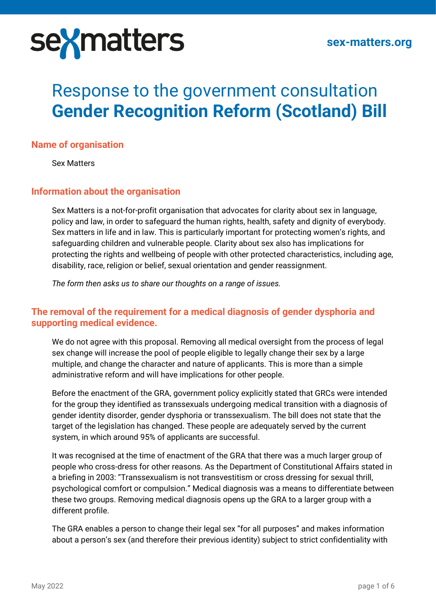

# Response to the government consultation **Gender Recognition Reform (Scotland) Bill**

#### **Name of organisation**

Sex Matters

#### **Information about the organisation**

Sex Matters is a not-for-profit organisation that advocates for clarity about sex in language, policy and law, in order to safeguard the human rights, health, safety and dignity of everybody. Sex matters in life and in law. This is particularly important for protecting women's rights, and safeguarding children and vulnerable people. Clarity about sex also has implications for protecting the rights and wellbeing of people with other protected characteristics, including age, disability, race, religion or belief, sexual orientation and gender reassignment.

*The form then asks us to share our thoughts on a range of issues.* 

# **The removal of the requirement for a medical diagnosis of gender dysphoria and supporting medical evidence.**

We do not agree with this proposal. Removing all medical oversight from the process of legal sex change will increase the pool of people eligible to legally change their sex by a large multiple, and change the character and nature of applicants. This is more than a simple administrative reform and will have implications for other people.

Before the enactment of the GRA, government policy explicitly stated that GRCs were intended for the group they identified as transsexuals undergoing medical transition with a diagnosis of gender identity disorder, gender dysphoria or transsexualism. The bill does not state that the target of the legislation has changed. These people are adequately served by the current system, in which around 95% of applicants are successful.

It was recognised at the time of enactment of the GRA that there was a much larger group of people who cross-dress for other reasons. As the Department of Constitutional Affairs stated in a briefing in 2003: "Transsexualism is not transvestitism or cross dressing for sexual thrill, psychological comfort or compulsion." Medical diagnosis was a means to differentiate between these two groups. Removing medical diagnosis opens up the GRA to a larger group with a different profile.

The GRA enables a person to change their legal sex "for all purposes" and makes information about a person's sex (and therefore their previous identity) subject to strict confidentiality with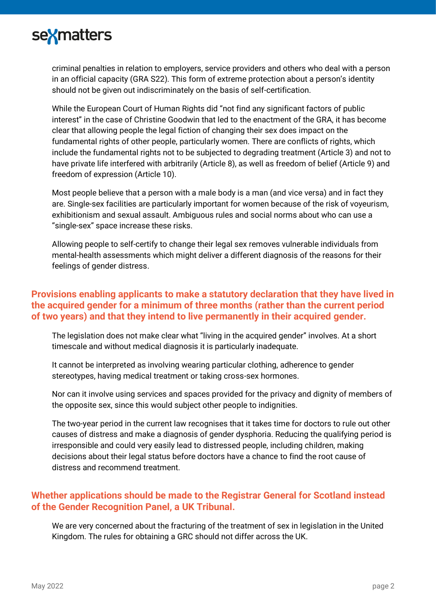

criminal penalties in relation to employers, service providers and others who deal with a person in an official capacity (GRA S22). This form of extreme protection about a person's identity should not be given out indiscriminately on the basis of self-certification.

While the European Court of Human Rights did "not find any significant factors of public interest" in the case of Christine Goodwin that led to the enactment of the GRA, it has become clear that allowing people the legal fiction of changing their sex does impact on the fundamental rights of other people, particularly women. There are conflicts of rights, which include the fundamental rights not to be subjected to degrading treatment (Article 3) and not to have private life interfered with arbitrarily (Article 8), as well as freedom of belief (Article 9) and freedom of expression (Article 10).

Most people believe that a person with a male body is a man (and vice versa) and in fact they are. Single-sex facilities are particularly important for women because of the risk of voyeurism, exhibitionism and sexual assault. Ambiguous rules and social norms about who can use a "single-sex" space increase these risks.

Allowing people to self-certify to change their legal sex removes vulnerable individuals from mental-health assessments which might deliver a different diagnosis of the reasons for their feelings of gender distress.

# **Provisions enabling applicants to make a statutory declaration that they have lived in the acquired gender for a minimum of three months (rather than the current period of two years) and that they intend to live permanently in their acquired gender.**

The legislation does not make clear what "living in the acquired gender" involves. At a short timescale and without medical diagnosis it is particularly inadequate.

It cannot be interpreted as involving wearing particular clothing, adherence to gender stereotypes, having medical treatment or taking cross-sex hormones.

Nor can it involve using services and spaces provided for the privacy and dignity of members of the opposite sex, since this would subject other people to indignities.

The two-year period in the current law recognises that it takes time for doctors to rule out other causes of distress and make a diagnosis of gender dysphoria. Reducing the qualifying period is irresponsible and could very easily lead to distressed people, including children, making decisions about their legal status before doctors have a chance to find the root cause of distress and recommend treatment.

# **Whether applications should be made to the Registrar General for Scotland instead of the Gender Recognition Panel, a UK Tribunal.**

We are very concerned about the fracturing of the treatment of sex in legislation in the United Kingdom. The rules for obtaining a GRC should not differ across the UK.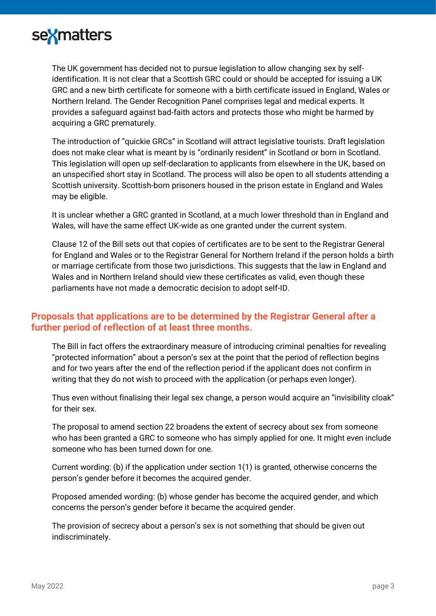

The UK government has decided not to pursue legislation to allow changing sex by selfidentification. It is not clear that a Scottish GRC could or should be accepted for issuing a UK GRC and a new birth certificate for someone with a birth certificate issued in England, Wales or Northern Ireland. The Gender Recognition Panel comprises legal and medical experts. It provides a safeguard against bad-faith actors and protects those who might be harmed by acquiring a GRC prematurely.

The introduction of "quickie GRCs" in Scotland will attract legislative tourists. Draft legislation does not make clear what is meant by is "ordinarily resident" in Scotland or born in Scotland. This legislation will open up self-declaration to applicants from elsewhere in the UK, based on an unspecified short stay in Scotland. The process will also be open to all students attending a Scottish university. Scottish-born prisoners housed in the prison estate in England and Wales may be eligible.

It is unclear whether a GRC granted in Scotland, at a much lower threshold than in England and Wales, will have the same effect UK-wide as one granted under the current system.

Clause 12 of the Bill sets out that copies of certificates are to be sent to the Registrar General for England and Wales or to the Registrar General for Northern Ireland if the person holds a birth or marriage certificate from those two jurisdictions. This suggests that the law in England and Wales and in Northern Ireland should view these certificates as valid, even though these parliaments have not made a democratic decision to adopt self-ID.

# **Proposals that applications are to be determined by the Registrar General after a further period of reflection of at least three months.**

The Bill in fact offers the extraordinary measure of introducing criminal penalties for revealing "protected information" about a person's sex at the point that the period of reflection begins and for two years after the end of the reflection period if the applicant does not confirm in writing that they do not wish to proceed with the application (or perhaps even longer).

Thus even without finalising their legal sex change, a person would acquire an "invisibility cloak" for their sex.

The proposal to amend section 22 broadens the extent of secrecy about sex from someone who has been granted a GRC to someone who has simply applied for one. It might even include someone who has been turned down for one.

Current wording: (b) if the application under section 1(1) is granted, otherwise concerns the person's gender before it becomes the acquired gender.

Proposed amended wording: (b) whose gender has become the acquired gender, and which concerns the person's gender before it became the acquired gender.

The provision of secrecy about a person's sex is not something that should be given out indiscriminately.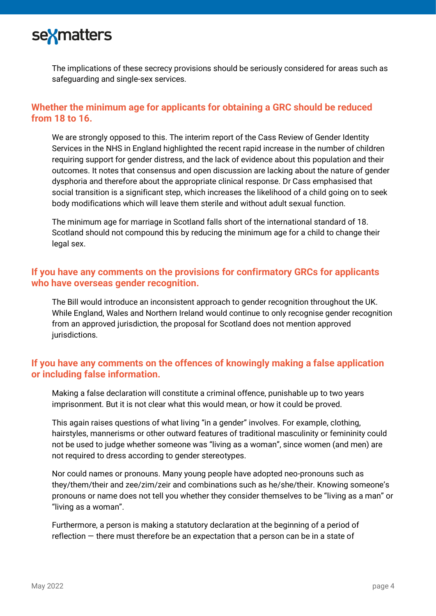

The implications of these secrecy provisions should be seriously considered for areas such as safeguarding and single-sex services.

# **Whether the minimum age for applicants for obtaining a GRC should be reduced from 18 to 16.**

We are strongly opposed to this. The interim report of the Cass Review of Gender Identity Services in the NHS in England highlighted the recent rapid increase in the number of children requiring support for gender distress, and the lack of evidence about this population and their outcomes. It notes that consensus and open discussion are lacking about the nature of gender dysphoria and therefore about the appropriate clinical response. Dr Cass emphasised that social transition is a significant step, which increases the likelihood of a child going on to seek body modifications which will leave them sterile and without adult sexual function.

The minimum age for marriage in Scotland falls short of the international standard of 18. Scotland should not compound this by reducing the minimum age for a child to change their legal sex.

#### **If you have any comments on the provisions for confirmatory GRCs for applicants who have overseas gender recognition.**

The Bill would introduce an inconsistent approach to gender recognition throughout the UK. While England, Wales and Northern Ireland would continue to only recognise gender recognition from an approved jurisdiction, the proposal for Scotland does not mention approved jurisdictions.

# **If you have any comments on the offences of knowingly making a false application or including false information.**

Making a false declaration will constitute a criminal offence, punishable up to two years imprisonment. But it is not clear what this would mean, or how it could be proved.

This again raises questions of what living "in a gender" involves. For example, clothing, hairstyles, mannerisms or other outward features of traditional masculinity or femininity could not be used to judge whether someone was "living as a woman", since women (and men) are not required to dress according to gender stereotypes.

Nor could names or pronouns. Many young people have adopted neo-pronouns such as they/them/their and zee/zim/zeir and combinations such as he/she/their. Knowing someone's pronouns or name does not tell you whether they consider themselves to be "living as a man" or "living as a woman".

Furthermore, a person is making a statutory declaration at the beginning of a period of reflection — there must therefore be an expectation that a person can be in a state of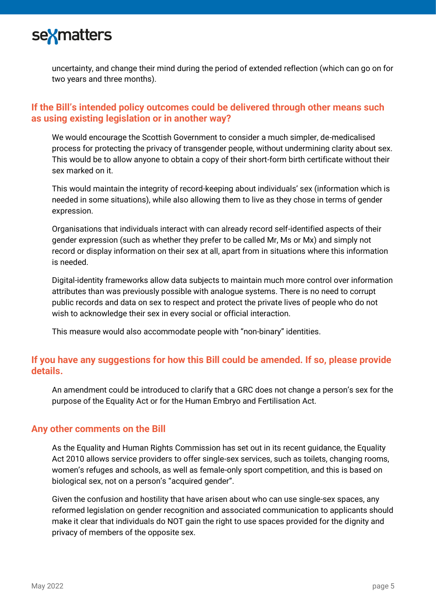

uncertainty, and change their mind during the period of extended reflection (which can go on for two years and three months).

# **If the Bill's intended policy outcomes could be delivered through other means such as using existing legislation or in another way?**

We would encourage the Scottish Government to consider a much simpler, de-medicalised process for protecting the privacy of transgender people, without undermining clarity about sex. This would be to allow anyone to obtain a copy of their short-form birth certificate without their sex marked on it.

This would maintain the integrity of record-keeping about individuals' sex (information which is needed in some situations), while also allowing them to live as they chose in terms of gender expression.

Organisations that individuals interact with can already record self-identified aspects of their gender expression (such as whether they prefer to be called Mr, Ms or Mx) and simply not record or display information on their sex at all, apart from in situations where this information is needed.

Digital-identity frameworks allow data subjects to maintain much more control over information attributes than was previously possible with analogue systems. There is no need to corrupt public records and data on sex to respect and protect the private lives of people who do not wish to acknowledge their sex in every social or official interaction.

This measure would also accommodate people with "non-binary" identities.

# **If you have any suggestions for how this Bill could be amended. If so, please provide details.**

An amendment could be introduced to clarify that a GRC does not change a person's sex for the purpose of the Equality Act or for the Human Embryo and Fertilisation Act.

#### **Any other comments on the Bill**

As the Equality and Human Rights Commission has set out in its recent guidance, the Equality Act 2010 allows service providers to offer single-sex services, such as toilets, changing rooms, women's refuges and schools, as well as female-only sport competition, and this is based on biological sex, not on a person's "acquired gender".

Given the confusion and hostility that have arisen about who can use single-sex spaces, any reformed legislation on gender recognition and associated communication to applicants should make it clear that individuals do NOT gain the right to use spaces provided for the dignity and privacy of members of the opposite sex.